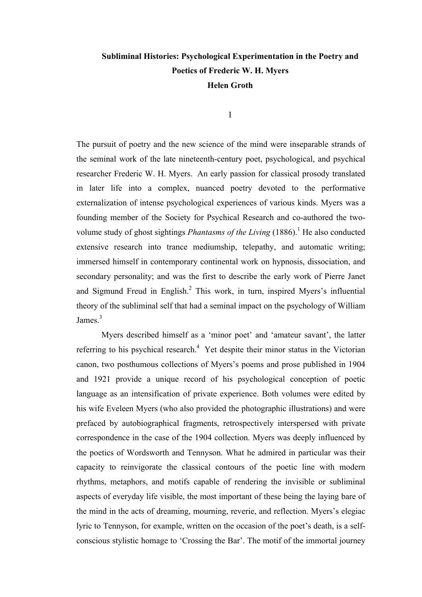# **Subliminal Histories: Psychological Experimentation in the Poetry and Poetics of Frederic W. H. Myers Helen Groth**

I

The pursuit of poetry and the new science of the mind were inseparable strands of the seminal work of the late nineteenth-century poet, psychological, and psychical researcher Frederic W. H. Myers. An early passion for classical prosody translated in later life into a complex, nuanced poetry devoted to the performative externalization of intense psychological experiences of various kinds. Myers was a founding member of the Society for Psychical Research and co-authored the twovolume study of ghost sightings *Phantasms of the Living* (1886). <sup>1</sup> He also conducted extensive research into trance mediumship, telepathy, and automatic writing; immersed himself in contemporary continental work on hypnosis, dissociation, and secondary personality; and was the first to describe the early work of Pierre Janet and Sigmund Freud in English.<sup>2</sup> This work, in turn, inspired Myers's influential theory of the subliminal self that had a seminal impact on the psychology of William James.<sup>3</sup>

Myers described himself as a 'minor poet' and 'amateur savant', the latter referring to his psychical research.<sup>4</sup> Yet despite their minor status in the Victorian canon, two posthumous collections of Myers's poems and prose published in 1904 and 1921 provide a unique record of his psychological conception of poetic language as an intensification of private experience. Both volumes were edited by his wife Eveleen Myers (who also provided the photographic illustrations) and were prefaced by autobiographical fragments, retrospectively interspersed with private correspondence in the case of the 1904 collection. Myers was deeply influenced by the poetics of Wordsworth and Tennyson. What he admired in particular was their capacity to reinvigorate the classical contours of the poetic line with modern rhythms, metaphors, and motifs capable of rendering the invisible or subliminal aspects of everyday life visible, the most important of these being the laying bare of the mind in the acts of dreaming, mourning, reverie, and reflection. Myers's elegiac lyric to Tennyson, for example, written on the occasion of the poet's death, is a selfconscious stylistic homage to 'Crossing the Bar'. The motif of the immortal journey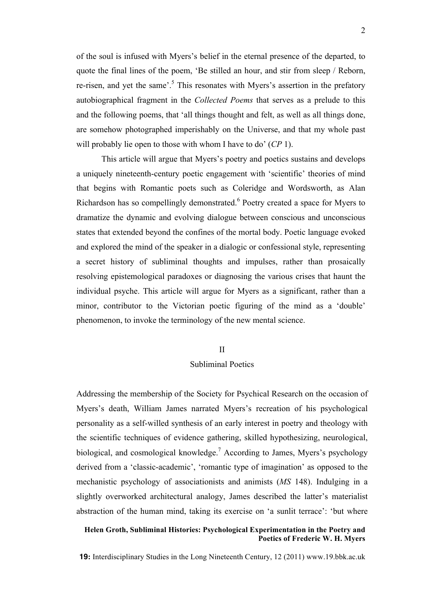of the soul is infused with Myers's belief in the eternal presence of the departed, to quote the final lines of the poem, 'Be stilled an hour, and stir from sleep / Reborn, re-risen, and yet the same'.<sup>5</sup> This resonates with Myers's assertion in the prefatory autobiographical fragment in the *Collected Poems* that serves as a prelude to this and the following poems, that 'all things thought and felt, as well as all things done, are somehow photographed imperishably on the Universe, and that my whole past will probably lie open to those with whom I have to do' (*CP* 1).

This article will argue that Myers's poetry and poetics sustains and develops a uniquely nineteenth-century poetic engagement with 'scientific' theories of mind that begins with Romantic poets such as Coleridge and Wordsworth, as Alan Richardson has so compellingly demonstrated.<sup>6</sup> Poetry created a space for Myers to dramatize the dynamic and evolving dialogue between conscious and unconscious states that extended beyond the confines of the mortal body. Poetic language evoked and explored the mind of the speaker in a dialogic or confessional style, representing a secret history of subliminal thoughts and impulses, rather than prosaically resolving epistemological paradoxes or diagnosing the various crises that haunt the individual psyche. This article will argue for Myers as a significant, rather than a minor, contributor to the Victorian poetic figuring of the mind as a 'double' phenomenon, to invoke the terminology of the new mental science.

### II

### Subliminal Poetics

Addressing the membership of the Society for Psychical Research on the occasion of Myers's death, William James narrated Myers's recreation of his psychological personality as a self-willed synthesis of an early interest in poetry and theology with the scientific techniques of evidence gathering, skilled hypothesizing, neurological, biological, and cosmological knowledge.<sup>7</sup> According to James, Myers's psychology derived from a 'classic-academic', 'romantic type of imagination' as opposed to the mechanistic psychology of associationists and animists (*MS* 148). Indulging in a slightly overworked architectural analogy, James described the latter's materialist abstraction of the human mind, taking its exercise on 'a sunlit terrace': 'but where

# **Helen Groth, Subliminal Histories: Psychological Experimentation in the Poetry and Poetics of Frederic W. H. Myers**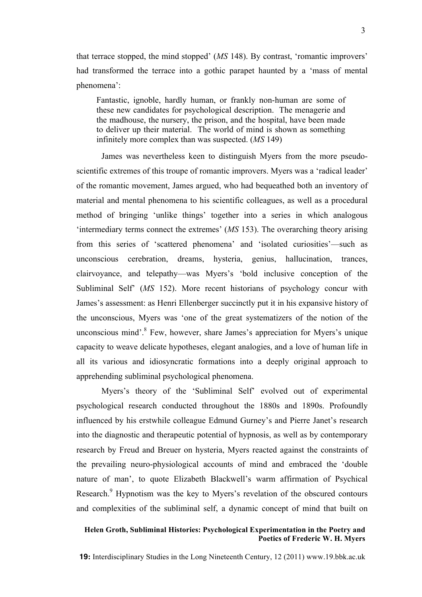that terrace stopped, the mind stopped' (*MS* 148). By contrast, 'romantic improvers' had transformed the terrace into a gothic parapet haunted by a 'mass of mental phenomena':

Fantastic, ignoble, hardly human, or frankly non-human are some of these new candidates for psychological description. The menagerie and the madhouse, the nursery, the prison, and the hospital, have been made to deliver up their material. The world of mind is shown as something infinitely more complex than was suspected. (*MS* 149)

James was nevertheless keen to distinguish Myers from the more pseudoscientific extremes of this troupe of romantic improvers. Myers was a 'radical leader' of the romantic movement, James argued, who had bequeathed both an inventory of material and mental phenomena to his scientific colleagues, as well as a procedural method of bringing 'unlike things' together into a series in which analogous 'intermediary terms connect the extremes' (*MS* 153). The overarching theory arising from this series of 'scattered phenomena' and 'isolated curiosities'—such as unconscious cerebration, dreams, hysteria, genius, hallucination, trances, clairvoyance, and telepathy—was Myers's 'bold inclusive conception of the Subliminal Self' (*MS* 152). More recent historians of psychology concur with James's assessment: as Henri Ellenberger succinctly put it in his expansive history of the unconscious, Myers was 'one of the great systematizers of the notion of the unconscious mind'.8 Few, however, share James's appreciation for Myers's unique capacity to weave delicate hypotheses, elegant analogies, and a love of human life in all its various and idiosyncratic formations into a deeply original approach to apprehending subliminal psychological phenomena.

Myers's theory of the 'Subliminal Self' evolved out of experimental psychological research conducted throughout the 1880s and 1890s. Profoundly influenced by his erstwhile colleague Edmund Gurney's and Pierre Janet's research into the diagnostic and therapeutic potential of hypnosis, as well as by contemporary research by Freud and Breuer on hysteria, Myers reacted against the constraints of the prevailing neuro-physiological accounts of mind and embraced the 'double nature of man', to quote Elizabeth Blackwell's warm affirmation of Psychical Research.<sup>9</sup> Hypnotism was the key to Myers's revelation of the obscured contours and complexities of the subliminal self, a dynamic concept of mind that built on

# **Helen Groth, Subliminal Histories: Psychological Experimentation in the Poetry and Poetics of Frederic W. H. Myers**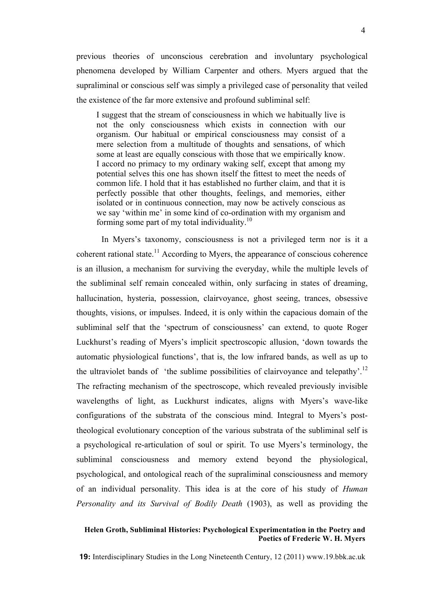previous theories of unconscious cerebration and involuntary psychological phenomena developed by William Carpenter and others. Myers argued that the supraliminal or conscious self was simply a privileged case of personality that veiled the existence of the far more extensive and profound subliminal self:

I suggest that the stream of consciousness in which we habitually live is not the only consciousness which exists in connection with our organism. Our habitual or empirical consciousness may consist of a mere selection from a multitude of thoughts and sensations, of which some at least are equally conscious with those that we empirically know. I accord no primacy to my ordinary waking self, except that among my potential selves this one has shown itself the fittest to meet the needs of common life. I hold that it has established no further claim, and that it is perfectly possible that other thoughts, feelings, and memories, either isolated or in continuous connection, may now be actively conscious as we say 'within me' in some kind of co-ordination with my organism and forming some part of my total individuality.<sup>10</sup>

In Myers's taxonomy, consciousness is not a privileged term nor is it a coherent rational state.<sup>11</sup> According to Myers, the appearance of conscious coherence is an illusion, a mechanism for surviving the everyday, while the multiple levels of the subliminal self remain concealed within, only surfacing in states of dreaming, hallucination, hysteria, possession, clairvoyance, ghost seeing, trances, obsessive thoughts, visions, or impulses. Indeed, it is only within the capacious domain of the subliminal self that the 'spectrum of consciousness' can extend, to quote Roger Luckhurst's reading of Myers's implicit spectroscopic allusion, 'down towards the automatic physiological functions', that is, the low infrared bands, as well as up to the ultraviolet bands of 'the sublime possibilities of clairvoyance and telepathy'.<sup>12</sup> The refracting mechanism of the spectroscope, which revealed previously invisible wavelengths of light, as Luckhurst indicates, aligns with Myers's wave-like configurations of the substrata of the conscious mind. Integral to Myers's posttheological evolutionary conception of the various substrata of the subliminal self is a psychological re-articulation of soul or spirit. To use Myers's terminology, the subliminal consciousness and memory extend beyond the physiological, psychological, and ontological reach of the supraliminal consciousness and memory of an individual personality. This idea is at the core of his study of *Human Personality and its Survival of Bodily Death* (1903), as well as providing the

# **Helen Groth, Subliminal Histories: Psychological Experimentation in the Poetry and Poetics of Frederic W. H. Myers**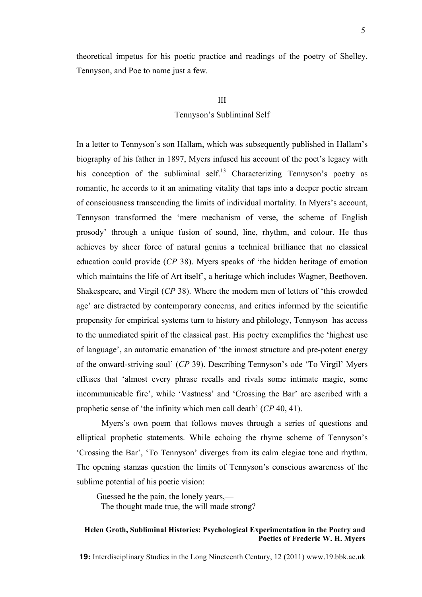theoretical impetus for his poetic practice and readings of the poetry of Shelley, Tennyson, and Poe to name just a few.

### III

### Tennyson's Subliminal Self

In a letter to Tennyson's son Hallam, which was subsequently published in Hallam's biography of his father in 1897, Myers infused his account of the poet's legacy with his conception of the subliminal self.<sup>13</sup> Characterizing Tennyson's poetry as romantic, he accords to it an animating vitality that taps into a deeper poetic stream of consciousness transcending the limits of individual mortality. In Myers's account, Tennyson transformed the 'mere mechanism of verse, the scheme of English prosody' through a unique fusion of sound, line, rhythm, and colour. He thus achieves by sheer force of natural genius a technical brilliance that no classical education could provide (*CP* 38). Myers speaks of 'the hidden heritage of emotion which maintains the life of Art itself', a heritage which includes Wagner, Beethoven, Shakespeare, and Virgil (*CP* 38). Where the modern men of letters of 'this crowded age' are distracted by contemporary concerns, and critics informed by the scientific propensity for empirical systems turn to history and philology, Tennyson has access to the unmediated spirit of the classical past. His poetry exemplifies the 'highest use of language', an automatic emanation of 'the inmost structure and pre-potent energy of the onward-striving soul' (*CP* 39). Describing Tennyson's ode 'To Virgil' Myers effuses that 'almost every phrase recalls and rivals some intimate magic, some incommunicable fire', while 'Vastness' and 'Crossing the Bar' are ascribed with a prophetic sense of 'the infinity which men call death' (*CP* 40, 41).

Myers's own poem that follows moves through a series of questions and elliptical prophetic statements. While echoing the rhyme scheme of Tennyson's 'Crossing the Bar', 'To Tennyson' diverges from its calm elegiac tone and rhythm. The opening stanzas question the limits of Tennyson's conscious awareness of the sublime potential of his poetic vision:

Guessed he the pain, the lonely years,— The thought made true, the will made strong?

# **Helen Groth, Subliminal Histories: Psychological Experimentation in the Poetry and Poetics of Frederic W. H. Myers**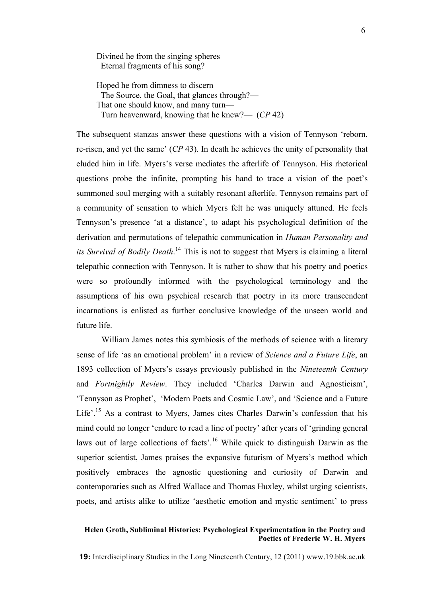Divined he from the singing spheres Eternal fragments of his song?

Hoped he from dimness to discern The Source, the Goal, that glances through?— That one should know, and many turn— Turn heavenward, knowing that he knew?— (*CP* 42)

The subsequent stanzas answer these questions with a vision of Tennyson 'reborn, re-risen, and yet the same' (*CP* 43). In death he achieves the unity of personality that eluded him in life. Myers's verse mediates the afterlife of Tennyson. His rhetorical questions probe the infinite, prompting his hand to trace a vision of the poet's summoned soul merging with a suitably resonant afterlife. Tennyson remains part of a community of sensation to which Myers felt he was uniquely attuned. He feels Tennyson's presence 'at a distance', to adapt his psychological definition of the derivation and permutations of telepathic communication in *Human Personality and its Survival of Bodily Death*. <sup>14</sup> This is not to suggest that Myers is claiming a literal telepathic connection with Tennyson. It is rather to show that his poetry and poetics were so profoundly informed with the psychological terminology and the assumptions of his own psychical research that poetry in its more transcendent incarnations is enlisted as further conclusive knowledge of the unseen world and future life.

William James notes this symbiosis of the methods of science with a literary sense of life 'as an emotional problem' in a review of *Science and a Future Life*, an 1893 collection of Myers's essays previously published in the *Nineteenth Century* and *Fortnightly Review*. They included 'Charles Darwin and Agnosticism', 'Tennyson as Prophet', 'Modern Poets and Cosmic Law', and 'Science and a Future Life'.<sup>15</sup> As a contrast to Myers, James cites Charles Darwin's confession that his mind could no longer 'endure to read a line of poetry' after years of 'grinding general laws out of large collections of facts'.<sup>16</sup> While quick to distinguish Darwin as the superior scientist, James praises the expansive futurism of Myers's method which positively embraces the agnostic questioning and curiosity of Darwin and contemporaries such as Alfred Wallace and Thomas Huxley, whilst urging scientists, poets, and artists alike to utilize 'aesthetic emotion and mystic sentiment' to press

# **Helen Groth, Subliminal Histories: Psychological Experimentation in the Poetry and Poetics of Frederic W. H. Myers**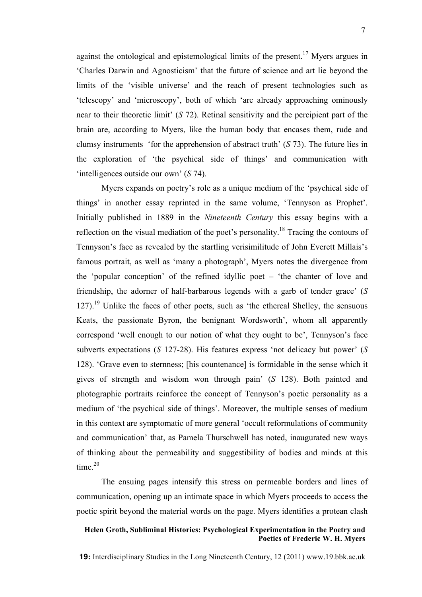against the ontological and epistemological limits of the present.<sup>17</sup> Myers argues in 'Charles Darwin and Agnosticism' that the future of science and art lie beyond the limits of the 'visible universe' and the reach of present technologies such as 'telescopy' and 'microscopy', both of which 'are already approaching ominously near to their theoretic limit' (*S* 72). Retinal sensitivity and the percipient part of the brain are, according to Myers, like the human body that encases them, rude and clumsy instruments 'for the apprehension of abstract truth' (*S* 73). The future lies in the exploration of 'the psychical side of things' and communication with 'intelligences outside our own' (*S* 74).

Myers expands on poetry's role as a unique medium of the 'psychical side of things' in another essay reprinted in the same volume, 'Tennyson as Prophet'. Initially published in 1889 in the *Nineteenth Century* this essay begins with a reflection on the visual mediation of the poet's personality.<sup>18</sup> Tracing the contours of Tennyson's face as revealed by the startling verisimilitude of John Everett Millais's famous portrait, as well as 'many a photograph', Myers notes the divergence from the 'popular conception' of the refined idyllic poet – 'the chanter of love and friendship, the adorner of half-barbarous legends with a garb of tender grace' (*S*  $127$ ).<sup>19</sup> Unlike the faces of other poets, such as 'the ethereal Shelley, the sensuous Keats, the passionate Byron, the benignant Wordsworth', whom all apparently correspond 'well enough to our notion of what they ought to be', Tennyson's face subverts expectations (*S* 127-28). His features express 'not delicacy but power' (*S* 128). 'Grave even to sternness; [his countenance] is formidable in the sense which it gives of strength and wisdom won through pain' (*S* 128). Both painted and photographic portraits reinforce the concept of Tennyson's poetic personality as a medium of 'the psychical side of things'. Moreover, the multiple senses of medium in this context are symptomatic of more general 'occult reformulations of community and communication' that, as Pamela Thurschwell has noted, inaugurated new ways of thinking about the permeability and suggestibility of bodies and minds at this time. $20$ 

The ensuing pages intensify this stress on permeable borders and lines of communication, opening up an intimate space in which Myers proceeds to access the poetic spirit beyond the material words on the page. Myers identifies a protean clash

# **Helen Groth, Subliminal Histories: Psychological Experimentation in the Poetry and Poetics of Frederic W. H. Myers**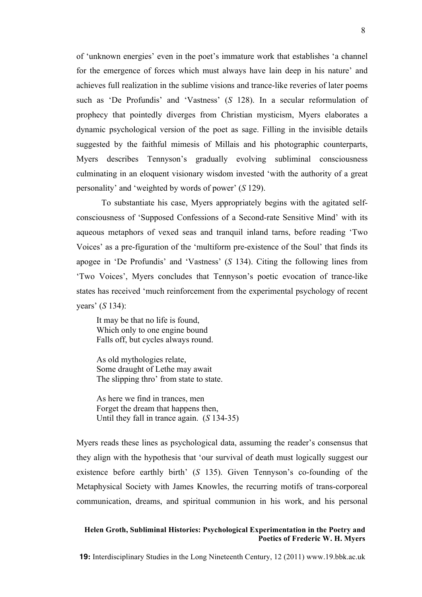of 'unknown energies' even in the poet's immature work that establishes 'a channel for the emergence of forces which must always have lain deep in his nature' and achieves full realization in the sublime visions and trance-like reveries of later poems such as 'De Profundis' and 'Vastness' (*S* 128). In a secular reformulation of prophecy that pointedly diverges from Christian mysticism, Myers elaborates a dynamic psychological version of the poet as sage. Filling in the invisible details suggested by the faithful mimesis of Millais and his photographic counterparts, Myers describes Tennyson's gradually evolving subliminal consciousness culminating in an eloquent visionary wisdom invested 'with the authority of a great personality' and 'weighted by words of power' (*S* 129).

To substantiate his case, Myers appropriately begins with the agitated selfconsciousness of 'Supposed Confessions of a Second-rate Sensitive Mind' with its aqueous metaphors of vexed seas and tranquil inland tarns, before reading 'Two Voices' as a pre-figuration of the 'multiform pre-existence of the Soul' that finds its apogee in 'De Profundis' and 'Vastness' (*S* 134). Citing the following lines from 'Two Voices', Myers concludes that Tennyson's poetic evocation of trance-like states has received 'much reinforcement from the experimental psychology of recent years' (*S* 134):

It may be that no life is found, Which only to one engine bound Falls off, but cycles always round.

As old mythologies relate, Some draught of Lethe may await The slipping thro' from state to state.

As here we find in trances, men Forget the dream that happens then, Until they fall in trance again. (*S* 134-35)

Myers reads these lines as psychological data, assuming the reader's consensus that they align with the hypothesis that 'our survival of death must logically suggest our existence before earthly birth' (*S* 135). Given Tennyson's co-founding of the Metaphysical Society with James Knowles, the recurring motifs of trans-corporeal communication, dreams, and spiritual communion in his work, and his personal

# **Helen Groth, Subliminal Histories: Psychological Experimentation in the Poetry and Poetics of Frederic W. H. Myers**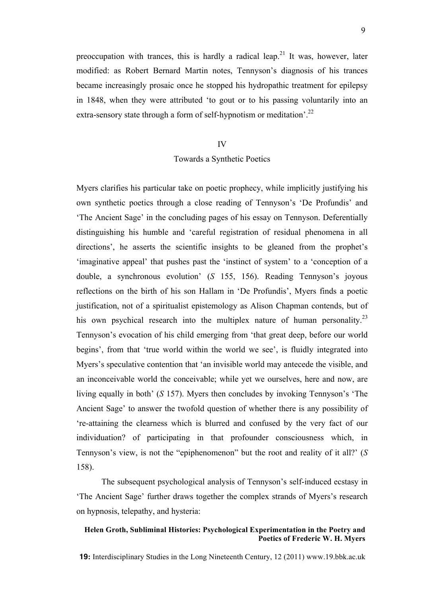preoccupation with trances, this is hardly a radical leap.<sup>21</sup> It was, however, later modified: as Robert Bernard Martin notes, Tennyson's diagnosis of his trances became increasingly prosaic once he stopped his hydropathic treatment for epilepsy in 1848, when they were attributed 'to gout or to his passing voluntarily into an extra-sensory state through a form of self-hypnotism or meditation'.<sup>22</sup>

### IV

#### Towards a Synthetic Poetics

Myers clarifies his particular take on poetic prophecy, while implicitly justifying his own synthetic poetics through a close reading of Tennyson's 'De Profundis' and 'The Ancient Sage' in the concluding pages of his essay on Tennyson. Deferentially distinguishing his humble and 'careful registration of residual phenomena in all directions', he asserts the scientific insights to be gleaned from the prophet's 'imaginative appeal' that pushes past the 'instinct of system' to a 'conception of a double, a synchronous evolution' (*S* 155, 156). Reading Tennyson's joyous reflections on the birth of his son Hallam in 'De Profundis', Myers finds a poetic justification, not of a spiritualist epistemology as Alison Chapman contends, but of his own psychical research into the multiplex nature of human personality.<sup>23</sup> Tennyson's evocation of his child emerging from 'that great deep, before our world begins', from that 'true world within the world we see', is fluidly integrated into Myers's speculative contention that 'an invisible world may antecede the visible, and an inconceivable world the conceivable; while yet we ourselves, here and now, are living equally in both' (*S* 157). Myers then concludes by invoking Tennyson's 'The Ancient Sage' to answer the twofold question of whether there is any possibility of 're-attaining the clearness which is blurred and confused by the very fact of our individuation? of participating in that profounder consciousness which, in Tennyson's view, is not the "epiphenomenon" but the root and reality of it all?' (*S* 158).

The subsequent psychological analysis of Tennyson's self-induced ecstasy in 'The Ancient Sage' further draws together the complex strands of Myers's research on hypnosis, telepathy, and hysteria:

# **Helen Groth, Subliminal Histories: Psychological Experimentation in the Poetry and Poetics of Frederic W. H. Myers**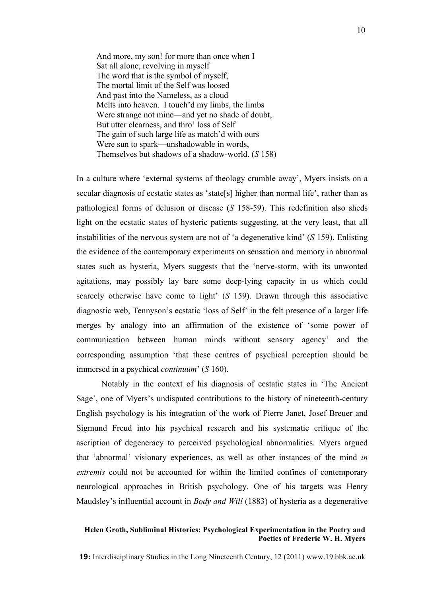And more, my son! for more than once when I Sat all alone, revolving in myself The word that is the symbol of myself, The mortal limit of the Self was loosed And past into the Nameless, as a cloud Melts into heaven. I touch'd my limbs, the limbs Were strange not mine—and yet no shade of doubt. But utter clearness, and thro' loss of Self The gain of such large life as match'd with ours Were sun to spark—unshadowable in words, Themselves but shadows of a shadow-world. (*S* 158)

In a culture where 'external systems of theology crumble away', Myers insists on a secular diagnosis of ecstatic states as 'state[s] higher than normal life', rather than as pathological forms of delusion or disease (*S* 158-59). This redefinition also sheds light on the ecstatic states of hysteric patients suggesting, at the very least, that all instabilities of the nervous system are not of 'a degenerative kind' (*S* 159). Enlisting the evidence of the contemporary experiments on sensation and memory in abnormal states such as hysteria, Myers suggests that the 'nerve-storm, with its unwonted agitations, may possibly lay bare some deep-lying capacity in us which could scarcely otherwise have come to light' (*S* 159). Drawn through this associative diagnostic web, Tennyson's ecstatic 'loss of Self' in the felt presence of a larger life merges by analogy into an affirmation of the existence of 'some power of communication between human minds without sensory agency' and the corresponding assumption 'that these centres of psychical perception should be immersed in a psychical *continuum*' (*S* 160).

Notably in the context of his diagnosis of ecstatic states in 'The Ancient Sage', one of Myers's undisputed contributions to the history of nineteenth-century English psychology is his integration of the work of Pierre Janet, Josef Breuer and Sigmund Freud into his psychical research and his systematic critique of the ascription of degeneracy to perceived psychological abnormalities. Myers argued that 'abnormal' visionary experiences, as well as other instances of the mind *in extremis* could not be accounted for within the limited confines of contemporary neurological approaches in British psychology. One of his targets was Henry Maudsley's influential account in *Body and Will* (1883) of hysteria as a degenerative

### **Helen Groth, Subliminal Histories: Psychological Experimentation in the Poetry and Poetics of Frederic W. H. Myers**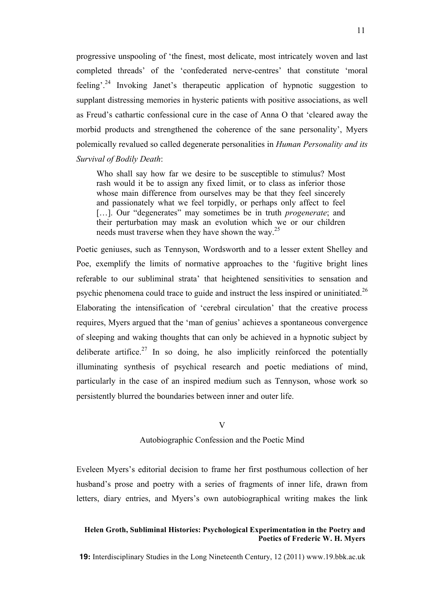progressive unspooling of 'the finest, most delicate, most intricately woven and last completed threads' of the 'confederated nerve-centres' that constitute 'moral feeling'.<sup>24</sup> Invoking Janet's therapeutic application of hypnotic suggestion to supplant distressing memories in hysteric patients with positive associations, as well as Freud's cathartic confessional cure in the case of Anna O that 'cleared away the morbid products and strengthened the coherence of the sane personality', Myers polemically revalued so called degenerate personalities in *Human Personality and its Survival of Bodily Death*:

Who shall say how far we desire to be susceptible to stimulus? Most rash would it be to assign any fixed limit, or to class as inferior those whose main difference from ourselves may be that they feel sincerely and passionately what we feel torpidly, or perhaps only affect to feel […]. Our "degenerates" may sometimes be in truth *progenerate*; and their perturbation may mask an evolution which we or our children needs must traverse when they have shown the way.<sup>25</sup>

Poetic geniuses, such as Tennyson, Wordsworth and to a lesser extent Shelley and Poe, exemplify the limits of normative approaches to the 'fugitive bright lines referable to our subliminal strata' that heightened sensitivities to sensation and psychic phenomena could trace to guide and instruct the less inspired or uninitiated.<sup>26</sup> Elaborating the intensification of 'cerebral circulation' that the creative process requires, Myers argued that the 'man of genius' achieves a spontaneous convergence of sleeping and waking thoughts that can only be achieved in a hypnotic subject by deliberate artifice.<sup>27</sup> In so doing, he also implicitly reinforced the potentially illuminating synthesis of psychical research and poetic mediations of mind, particularly in the case of an inspired medium such as Tennyson, whose work so persistently blurred the boundaries between inner and outer life.

#### $\overline{V}$

Autobiographic Confession and the Poetic Mind

Eveleen Myers's editorial decision to frame her first posthumous collection of her husband's prose and poetry with a series of fragments of inner life, drawn from letters, diary entries, and Myers's own autobiographical writing makes the link

# **Helen Groth, Subliminal Histories: Psychological Experimentation in the Poetry and Poetics of Frederic W. H. Myers**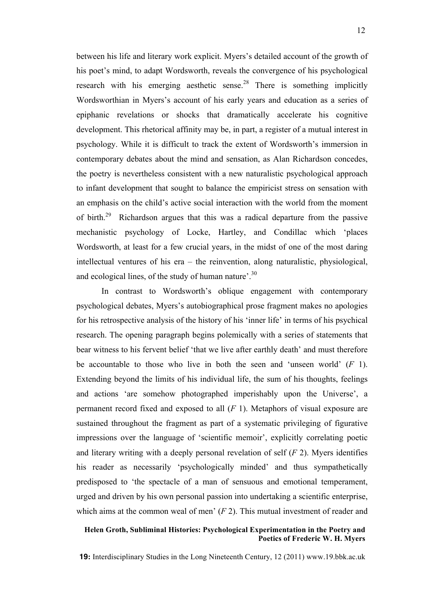between his life and literary work explicit. Myers's detailed account of the growth of his poet's mind, to adapt Wordsworth, reveals the convergence of his psychological research with his emerging aesthetic sense.<sup>28</sup> There is something implicitly Wordsworthian in Myers's account of his early years and education as a series of epiphanic revelations or shocks that dramatically accelerate his cognitive development. This rhetorical affinity may be, in part, a register of a mutual interest in psychology. While it is difficult to track the extent of Wordsworth's immersion in contemporary debates about the mind and sensation, as Alan Richardson concedes, the poetry is nevertheless consistent with a new naturalistic psychological approach to infant development that sought to balance the empiricist stress on sensation with an emphasis on the child's active social interaction with the world from the moment of birth.29 Richardson argues that this was a radical departure from the passive mechanistic psychology of Locke, Hartley, and Condillac which 'places Wordsworth, at least for a few crucial years, in the midst of one of the most daring intellectual ventures of his era – the reinvention, along naturalistic, physiological, and ecological lines, of the study of human nature'.<sup>30</sup>

In contrast to Wordsworth's oblique engagement with contemporary psychological debates, Myers's autobiographical prose fragment makes no apologies for his retrospective analysis of the history of his 'inner life' in terms of his psychical research. The opening paragraph begins polemically with a series of statements that bear witness to his fervent belief 'that we live after earthly death' and must therefore be accountable to those who live in both the seen and 'unseen world' (*F* 1). Extending beyond the limits of his individual life, the sum of his thoughts, feelings and actions 'are somehow photographed imperishably upon the Universe', a permanent record fixed and exposed to all (*F* 1). Metaphors of visual exposure are sustained throughout the fragment as part of a systematic privileging of figurative impressions over the language of 'scientific memoir', explicitly correlating poetic and literary writing with a deeply personal revelation of self (*F* 2). Myers identifies his reader as necessarily 'psychologically minded' and thus sympathetically predisposed to 'the spectacle of a man of sensuous and emotional temperament, urged and driven by his own personal passion into undertaking a scientific enterprise, which aims at the common weal of men' (*F* 2). This mutual investment of reader and

### **Helen Groth, Subliminal Histories: Psychological Experimentation in the Poetry and Poetics of Frederic W. H. Myers**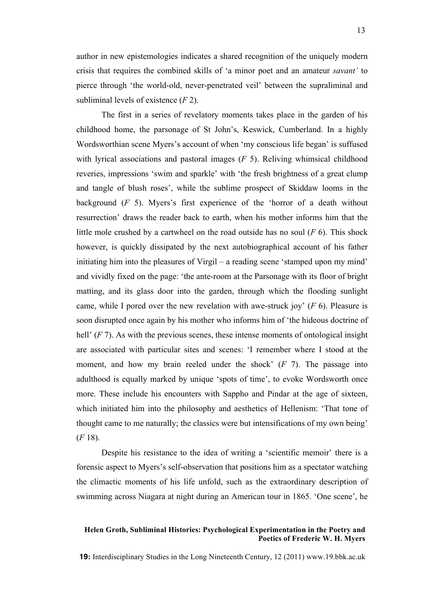author in new epistemologies indicates a shared recognition of the uniquely modern crisis that requires the combined skills of 'a minor poet and an amateur *savant'* to pierce through 'the world-old, never-penetrated veil' between the supraliminal and subliminal levels of existence (*F* 2).

The first in a series of revelatory moments takes place in the garden of his childhood home, the parsonage of St John's, Keswick, Cumberland. In a highly Wordsworthian scene Myers's account of when 'my conscious life began' is suffused with lyrical associations and pastoral images (*F* 5). Reliving whimsical childhood reveries, impressions 'swim and sparkle' with 'the fresh brightness of a great clump and tangle of blush roses', while the sublime prospect of Skiddaw looms in the background (*F* 5). Myers's first experience of the 'horror of a death without resurrection' draws the reader back to earth, when his mother informs him that the little mole crushed by a cartwheel on the road outside has no soul (*F* 6). This shock however, is quickly dissipated by the next autobiographical account of his father initiating him into the pleasures of Virgil – a reading scene 'stamped upon my mind' and vividly fixed on the page: 'the ante-room at the Parsonage with its floor of bright matting, and its glass door into the garden, through which the flooding sunlight came, while I pored over the new revelation with awe-struck joy' (*F* 6). Pleasure is soon disrupted once again by his mother who informs him of 'the hideous doctrine of hell' (*F* 7). As with the previous scenes, these intense moments of ontological insight are associated with particular sites and scenes: 'I remember where I stood at the moment, and how my brain reeled under the shock' (*F* 7). The passage into adulthood is equally marked by unique 'spots of time', to evoke Wordsworth once more. These include his encounters with Sappho and Pindar at the age of sixteen, which initiated him into the philosophy and aesthetics of Hellenism: 'That tone of thought came to me naturally; the classics were but intensifications of my own being' (*F* 18).

Despite his resistance to the idea of writing a 'scientific memoir' there is a forensic aspect to Myers's self-observation that positions him as a spectator watching the climactic moments of his life unfold, such as the extraordinary description of swimming across Niagara at night during an American tour in 1865. 'One scene', he

# **Helen Groth, Subliminal Histories: Psychological Experimentation in the Poetry and Poetics of Frederic W. H. Myers**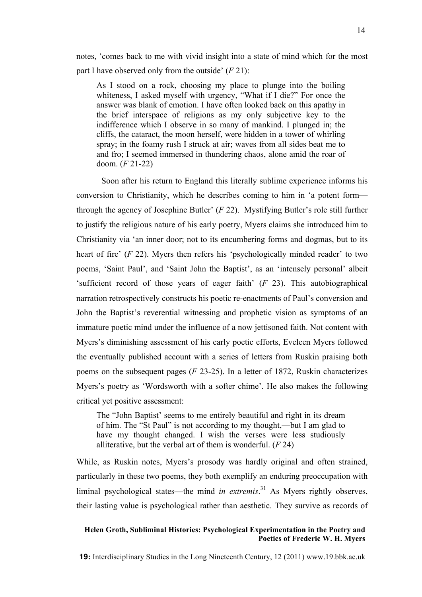notes, 'comes back to me with vivid insight into a state of mind which for the most part I have observed only from the outside' (*F* 21):

As I stood on a rock, choosing my place to plunge into the boiling whiteness, I asked myself with urgency, "What if I die?" For once the answer was blank of emotion. I have often looked back on this apathy in the brief interspace of religions as my only subjective key to the indifference which I observe in so many of mankind. I plunged in; the cliffs, the cataract, the moon herself, were hidden in a tower of whirling spray; in the foamy rush I struck at air; waves from all sides beat me to and fro; I seemed immersed in thundering chaos, alone amid the roar of doom. (*F* 21-22)

Soon after his return to England this literally sublime experience informs his conversion to Christianity, which he describes coming to him in 'a potent form through the agency of Josephine Butler' (*F* 22). Mystifying Butler's role still further to justify the religious nature of his early poetry, Myers claims she introduced him to Christianity via 'an inner door; not to its encumbering forms and dogmas, but to its heart of fire' (*F* 22). Myers then refers his 'psychologically minded reader' to two poems, 'Saint Paul', and 'Saint John the Baptist', as an 'intensely personal' albeit 'sufficient record of those years of eager faith' (*F* 23). This autobiographical narration retrospectively constructs his poetic re-enactments of Paul's conversion and John the Baptist's reverential witnessing and prophetic vision as symptoms of an immature poetic mind under the influence of a now jettisoned faith. Not content with Myers's diminishing assessment of his early poetic efforts, Eveleen Myers followed the eventually published account with a series of letters from Ruskin praising both poems on the subsequent pages (*F* 23-25). In a letter of 1872, Ruskin characterizes Myers's poetry as 'Wordsworth with a softer chime'. He also makes the following critical yet positive assessment:

The "John Baptist' seems to me entirely beautiful and right in its dream of him. The "St Paul" is not according to my thought,—but I am glad to have my thought changed. I wish the verses were less studiously alliterative, but the verbal art of them is wonderful. (*F* 24)

While, as Ruskin notes, Myers's prosody was hardly original and often strained, particularly in these two poems, they both exemplify an enduring preoccupation with liminal psychological states—the mind *in extremis*. <sup>31</sup> As Myers rightly observes, their lasting value is psychological rather than aesthetic. They survive as records of

# **Helen Groth, Subliminal Histories: Psychological Experimentation in the Poetry and Poetics of Frederic W. H. Myers**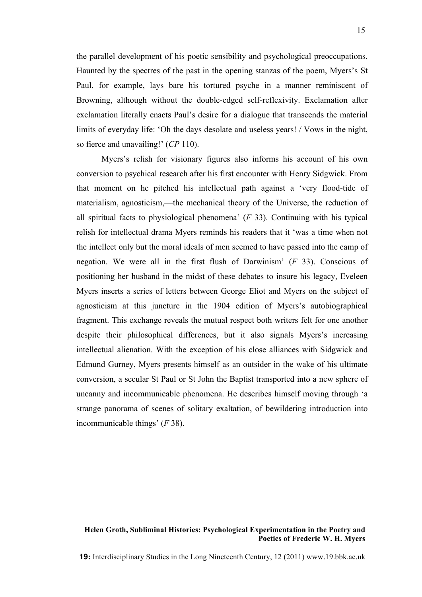the parallel development of his poetic sensibility and psychological preoccupations. Haunted by the spectres of the past in the opening stanzas of the poem, Myers's St Paul, for example, lays bare his tortured psyche in a manner reminiscent of Browning, although without the double-edged self-reflexivity. Exclamation after exclamation literally enacts Paul's desire for a dialogue that transcends the material limits of everyday life: 'Oh the days desolate and useless years! / Vows in the night, so fierce and unavailing!' (*CP* 110).

Myers's relish for visionary figures also informs his account of his own conversion to psychical research after his first encounter with Henry Sidgwick. From that moment on he pitched his intellectual path against a 'very flood-tide of materialism, agnosticism,—the mechanical theory of the Universe, the reduction of all spiritual facts to physiological phenomena' (*F* 33). Continuing with his typical relish for intellectual drama Myers reminds his readers that it 'was a time when not the intellect only but the moral ideals of men seemed to have passed into the camp of negation. We were all in the first flush of Darwinism' (*F* 33). Conscious of positioning her husband in the midst of these debates to insure his legacy, Eveleen Myers inserts a series of letters between George Eliot and Myers on the subject of agnosticism at this juncture in the 1904 edition of Myers's autobiographical fragment. This exchange reveals the mutual respect both writers felt for one another despite their philosophical differences, but it also signals Myers's increasing intellectual alienation. With the exception of his close alliances with Sidgwick and Edmund Gurney, Myers presents himself as an outsider in the wake of his ultimate conversion, a secular St Paul or St John the Baptist transported into a new sphere of uncanny and incommunicable phenomena. He describes himself moving through 'a strange panorama of scenes of solitary exaltation, of bewildering introduction into incommunicable things' (*F* 38).

# **Helen Groth, Subliminal Histories: Psychological Experimentation in the Poetry and Poetics of Frederic W. H. Myers**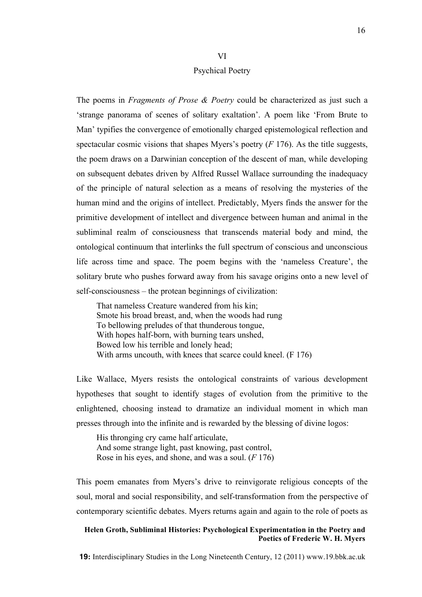# VI Psychical Poetry

The poems in *Fragments of Prose & Poetry* could be characterized as just such a 'strange panorama of scenes of solitary exaltation'. A poem like 'From Brute to Man' typifies the convergence of emotionally charged epistemological reflection and spectacular cosmic visions that shapes Myers's poetry (*F* 176). As the title suggests, the poem draws on a Darwinian conception of the descent of man, while developing on subsequent debates driven by Alfred Russel Wallace surrounding the inadequacy of the principle of natural selection as a means of resolving the mysteries of the human mind and the origins of intellect. Predictably, Myers finds the answer for the primitive development of intellect and divergence between human and animal in the subliminal realm of consciousness that transcends material body and mind, the ontological continuum that interlinks the full spectrum of conscious and unconscious life across time and space. The poem begins with the 'nameless Creature', the solitary brute who pushes forward away from his savage origins onto a new level of self-consciousness – the protean beginnings of civilization:

That nameless Creature wandered from his kin; Smote his broad breast, and, when the woods had rung To bellowing preludes of that thunderous tongue, With hopes half-born, with burning tears unshed, Bowed low his terrible and lonely head; With arms uncouth, with knees that scarce could kneel. (F 176)

Like Wallace, Myers resists the ontological constraints of various development hypotheses that sought to identify stages of evolution from the primitive to the enlightened, choosing instead to dramatize an individual moment in which man presses through into the infinite and is rewarded by the blessing of divine logos:

His thronging cry came half articulate, And some strange light, past knowing, past control, Rose in his eyes, and shone, and was a soul. (*F* 176)

This poem emanates from Myers's drive to reinvigorate religious concepts of the soul, moral and social responsibility, and self-transformation from the perspective of contemporary scientific debates. Myers returns again and again to the role of poets as

# **Helen Groth, Subliminal Histories: Psychological Experimentation in the Poetry and Poetics of Frederic W. H. Myers**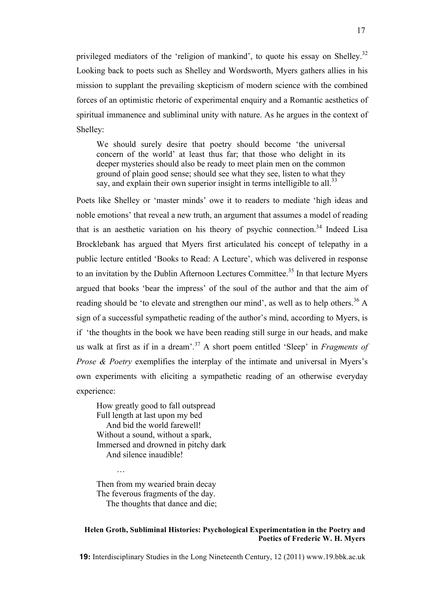privileged mediators of the 'religion of mankind', to quote his essay on Shelley.<sup>32</sup> Looking back to poets such as Shelley and Wordsworth, Myers gathers allies in his mission to supplant the prevailing skepticism of modern science with the combined forces of an optimistic rhetoric of experimental enquiry and a Romantic aesthetics of spiritual immanence and subliminal unity with nature. As he argues in the context of Shelley:

We should surely desire that poetry should become 'the universal concern of the world' at least thus far; that those who delight in its deeper mysteries should also be ready to meet plain men on the common ground of plain good sense; should see what they see, listen to what they say, and explain their own superior insight in terms intelligible to all.<sup>33</sup>

Poets like Shelley or 'master minds' owe it to readers to mediate 'high ideas and noble emotions' that reveal a new truth, an argument that assumes a model of reading that is an aesthetic variation on his theory of psychic connection.<sup>34</sup> Indeed Lisa Brocklebank has argued that Myers first articulated his concept of telepathy in a public lecture entitled 'Books to Read: A Lecture', which was delivered in response to an invitation by the Dublin Afternoon Lectures Committee.<sup>35</sup> In that lecture Myers argued that books 'bear the impress' of the soul of the author and that the aim of reading should be 'to elevate and strengthen our mind', as well as to help others.<sup>36</sup> A sign of a successful sympathetic reading of the author's mind, according to Myers, is if 'the thoughts in the book we have been reading still surge in our heads, and make us walk at first as if in a dream'.<sup>37</sup> A short poem entitled 'Sleep' in *Fragments of Prose & Poetry* exemplifies the interplay of the intimate and universal in Myers's own experiments with eliciting a sympathetic reading of an otherwise everyday experience:

How greatly good to fall outspread Full length at last upon my bed And bid the world farewell! Without a sound, without a spark, Immersed and drowned in pitchy dark And silence inaudible!

Then from my wearied brain decay The feverous fragments of the day. The thoughts that dance and die;

…

### **Helen Groth, Subliminal Histories: Psychological Experimentation in the Poetry and Poetics of Frederic W. H. Myers**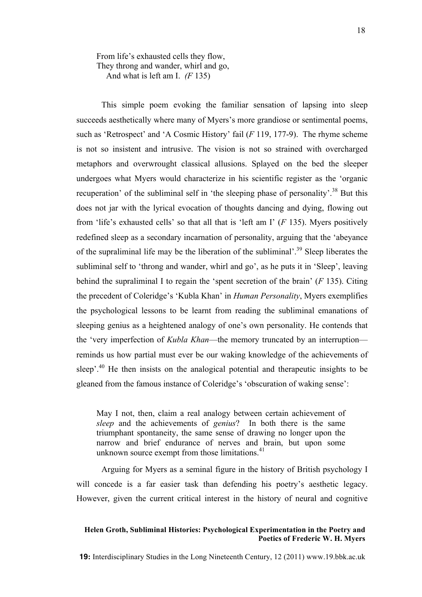From life's exhausted cells they flow, They throng and wander, whirl and go, And what is left am I. *(F* 135)

This simple poem evoking the familiar sensation of lapsing into sleep succeeds aesthetically where many of Myers's more grandiose or sentimental poems, such as 'Retrospect' and 'A Cosmic History' fail (*F* 119, 177-9). The rhyme scheme is not so insistent and intrusive. The vision is not so strained with overcharged metaphors and overwrought classical allusions. Splayed on the bed the sleeper undergoes what Myers would characterize in his scientific register as the 'organic recuperation' of the subliminal self in 'the sleeping phase of personality'.<sup>38</sup> But this does not jar with the lyrical evocation of thoughts dancing and dying, flowing out from 'life's exhausted cells' so that all that is 'left am I' (*F* 135). Myers positively redefined sleep as a secondary incarnation of personality, arguing that the 'abeyance of the supraliminal life may be the liberation of the subliminal'.<sup>39</sup> Sleep liberates the subliminal self to 'throng and wander, whirl and go', as he puts it in 'Sleep', leaving behind the supraliminal I to regain the 'spent secretion of the brain' (*F* 135). Citing the precedent of Coleridge's 'Kubla Khan' in *Human Personality*, Myers exemplifies the psychological lessons to be learnt from reading the subliminal emanations of sleeping genius as a heightened analogy of one's own personality. He contends that the 'very imperfection of *Kubla Khan*—the memory truncated by an interruption reminds us how partial must ever be our waking knowledge of the achievements of sleep<sup>'.40</sup> He then insists on the analogical potential and therapeutic insights to be gleaned from the famous instance of Coleridge's 'obscuration of waking sense':

May I not, then, claim a real analogy between certain achievement of *sleep* and the achievements of *genius*? In both there is the same triumphant spontaneity, the same sense of drawing no longer upon the narrow and brief endurance of nerves and brain, but upon some unknown source exempt from those limitations.<sup>41</sup>

Arguing for Myers as a seminal figure in the history of British psychology I will concede is a far easier task than defending his poetry's aesthetic legacy. However, given the current critical interest in the history of neural and cognitive

### **Helen Groth, Subliminal Histories: Psychological Experimentation in the Poetry and Poetics of Frederic W. H. Myers**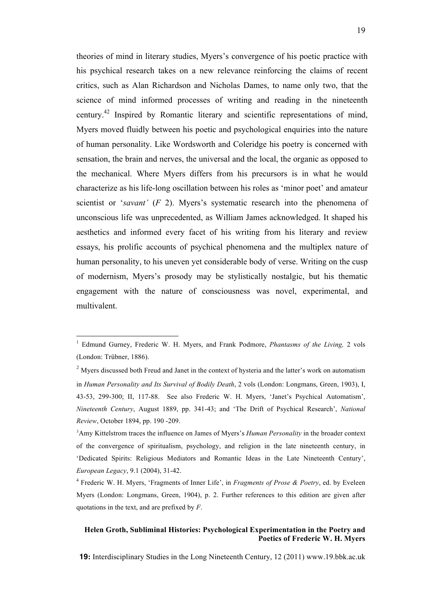theories of mind in literary studies, Myers's convergence of his poetic practice with his psychical research takes on a new relevance reinforcing the claims of recent critics, such as Alan Richardson and Nicholas Dames, to name only two, that the science of mind informed processes of writing and reading in the nineteenth century.42 Inspired by Romantic literary and scientific representations of mind, Myers moved fluidly between his poetic and psychological enquiries into the nature of human personality. Like Wordsworth and Coleridge his poetry is concerned with sensation, the brain and nerves, the universal and the local, the organic as opposed to the mechanical. Where Myers differs from his precursors is in what he would characterize as his life-long oscillation between his roles as 'minor poet' and amateur scientist or '*savant'* (*F* 2). Myers's systematic research into the phenomena of unconscious life was unprecedented, as William James acknowledged. It shaped his aesthetics and informed every facet of his writing from his literary and review essays, his prolific accounts of psychical phenomena and the multiplex nature of human personality, to his uneven yet considerable body of verse. Writing on the cusp of modernism, Myers's prosody may be stylistically nostalgic, but his thematic engagement with the nature of consciousness was novel, experimental, and multivalent.

# **Helen Groth, Subliminal Histories: Psychological Experimentation in the Poetry and Poetics of Frederic W. H. Myers**

<sup>|&</sup>lt;br>|<br>| Edmund Gurney, Frederic W. H. Myers, and Frank Podmore, *Phantasms of the Living,* 2 vols (London: Trübner, 1886).

<sup>&</sup>lt;sup>2</sup> Myers discussed both Freud and Janet in the context of hysteria and the latter's work on automatism in *Human Personality and Its Survival of Bodily Death*, 2 vols (London: Longmans, Green, 1903), I, 43-53, 299-300; II, 117-88. See also Frederic W. H. Myers, 'Janet's Psychical Automatism', *Nineteenth Century*, August 1889, pp. 341-43; and 'The Drift of Psychical Research', *National Review*, October 1894, pp. 190 -209.

<sup>3</sup> Amy Kittelstrom traces the influence on James of Myers's *Human Personality* in the broader context of the convergence of spiritualism, psychology, and religion in the late nineteenth century, in 'Dedicated Spirits: Religious Mediators and Romantic Ideas in the Late Nineteenth Century', *European Legacy*, 9.1 (2004), 31-42.

<sup>4</sup> Frederic W. H. Myers, 'Fragments of Inner Life', in *Fragments of Prose & Poetry*, ed. by Eveleen Myers (London: Longmans, Green, 1904), p. 2. Further references to this edition are given after quotations in the text, and are prefixed by *F*.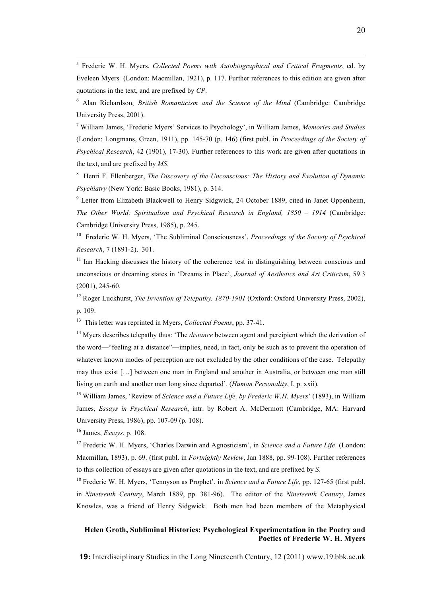5 Frederic W. H. Myers, *Collected Poems with Autobiographical and Critical Fragments*, ed. by Eveleen Myers (London: Macmillan, 1921), p. 117. Further references to this edition are given after quotations in the text, and are prefixed by *CP*.

6 Alan Richardson, *British Romanticism and the Science of the Mind* (Cambridge: Cambridge University Press, 2001).

7 William James, 'Frederic Myers' Services to Psychology', in William James, *Memories and Studies* (London: Longmans, Green, 1911), pp. 145-70 (p. 146) (first publ. in *Proceedings of the Society of Psychical Research*, 42 (1901), 17-30). Further references to this work are given after quotations in the text, and are prefixed by *MS*.

8 Henri F. Ellenberger, *The Discovery of the Unconscious: The History and Evolution of Dynamic Psychiatry* (New York: Basic Books, 1981), p. 314.

<sup>9</sup> Letter from Elizabeth Blackwell to Henry Sidgwick, 24 October 1889, cited in Janet Oppenheim, *The Other World: Spiritualism and Psychical Research in England, 1850 – 1914* (Cambridge: Cambridge University Press, 1985), p. 245.

10 Frederic W. H. Myers, 'The Subliminal Consciousness', *Proceedings of the Society of Psychical Research*, 7 (1891-2), 301.

 $11$  Ian Hacking discusses the history of the coherence test in distinguishing between conscious and unconscious or dreaming states in 'Dreams in Place', *Journal of Aesthetics and Art Criticism*, 59.3 (2001), 245-60.

12 Roger Luckhurst, *The Invention of Telepathy, 1870-1901* (Oxford: Oxford University Press, 2002), p. 109.

13 This letter was reprinted in Myers, *Collected Poems*, pp. 37-41.

<sup>14</sup> Myers describes telepathy thus: 'The *distance* between agent and percipient which the derivation of the word—"feeling at a distance"—implies, need, in fact, only be such as to prevent the operation of whatever known modes of perception are not excluded by the other conditions of the case. Telepathy may thus exist […] between one man in England and another in Australia, or between one man still living on earth and another man long since departed'. (*Human Personality*, I, p. xxii).

15 William James, 'Review of *Science and a Future Life, by Frederic W.H. Myers*' (1893), in William James, *Essays in Psychical Research*, intr. by Robert A. McDermott (Cambridge, MA: Harvard University Press, 1986), pp. 107-09 (p. 108).

16 James, *Essays*, p. 108.

<sup>17</sup> Frederic W. H. Myers, 'Charles Darwin and Agnosticism', in *Science and a Future Life* (London: Macmillan, 1893), p. 69. (first publ. in *Fortnightly Review*, Jan 1888, pp. 99-108). Further references to this collection of essays are given after quotations in the text, and are prefixed by *S*.

18 Frederic W. H. Myers, 'Tennyson as Prophet', in *Science and a Future Life*, pp. 127-65 (first publ. in *Nineteenth Century*, March 1889, pp. 381-96). The editor of the *Nineteenth Century*, James Knowles, was a friend of Henry Sidgwick. Both men had been members of the Metaphysical

# **Helen Groth, Subliminal Histories: Psychological Experimentation in the Poetry and Poetics of Frederic W. H. Myers**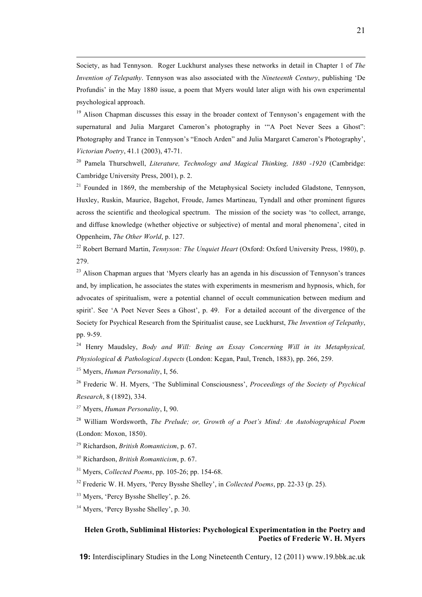Society, as had Tennyson. Roger Luckhurst analyses these networks in detail in Chapter 1 of *The Invention of Telepathy*. Tennyson was also associated with the *Nineteenth Century*, publishing 'De Profundis' in the May 1880 issue, a poem that Myers would later align with his own experimental psychological approach.

<sup>19</sup> Alison Chapman discusses this essay in the broader context of Tennyson's engagement with the supernatural and Julia Margaret Cameron's photography in "A Poet Never Sees a Ghost": Photography and Trance in Tennyson's "Enoch Arden" and Julia Margaret Cameron's Photography', *Victorian Poetry*, 41.1 (2003), 47-71.

20 Pamela Thurschwell, *Literature, Technology and Magical Thinking, 1880 -1920* (Cambridge: Cambridge University Press, 2001), p. 2.

 $21$  Founded in 1869, the membership of the Metaphysical Society included Gladstone, Tennyson, Huxley, Ruskin, Maurice, Bagehot, Froude, James Martineau, Tyndall and other prominent figures across the scientific and theological spectrum. The mission of the society was 'to collect, arrange, and diffuse knowledge (whether objective or subjective) of mental and moral phenomena', cited in Oppenheim, *The Other World*, p. 127.

22 Robert Bernard Martin, *Tennyson: The Unquiet Heart* (Oxford: Oxford University Press, 1980), p. 279.

<sup>23</sup> Alison Chapman argues that 'Myers clearly has an agenda in his discussion of Tennyson's trances and, by implication, he associates the states with experiments in mesmerism and hypnosis, which, for advocates of spiritualism, were a potential channel of occult communication between medium and spirit'. See 'A Poet Never Sees a Ghost', p. 49. For a detailed account of the divergence of the Society for Psychical Research from the Spiritualist cause, see Luckhurst, *The Invention of Telepathy*, pp. 9-59.

24 Henry Maudsley, *Body and Will: Being an Essay Concerning Will in its Metaphysical, Physiological & Pathological Aspects* (London: Kegan, Paul, Trench, 1883), pp. 266, 259.

<sup>25</sup> Myers, *Human Personality*, I, 56.

 $\overline{a}$ 

26 Frederic W. H. Myers, 'The Subliminal Consciousness', *Proceedings of the Society of Psychical Research*, 8 (1892), 334.

<sup>27</sup> Myers, *Human Personality*, I, 90.

28 William Wordsworth, *The Prelude; or, Growth of a Poet's Mind: An Autobiographical Poem* (London: Moxon, 1850).

<sup>29</sup> Richardson, *British Romanticism*, p. 67.

<sup>30</sup> Richardson, *British Romanticism*, p. 67.

31 Myers, *Collected Poems*, pp. 105-26; pp. 154-68.

32 Frederic W. H. Myers, 'Percy Bysshe Shelley', in *Collected Poems*, pp. 22-33 (p. 25).

<sup>33</sup> Myers, 'Percy Bysshe Shelley', p. 26.

<sup>34</sup> Myers, 'Percy Bysshe Shelley', p. 30.

# **Helen Groth, Subliminal Histories: Psychological Experimentation in the Poetry and Poetics of Frederic W. H. Myers**